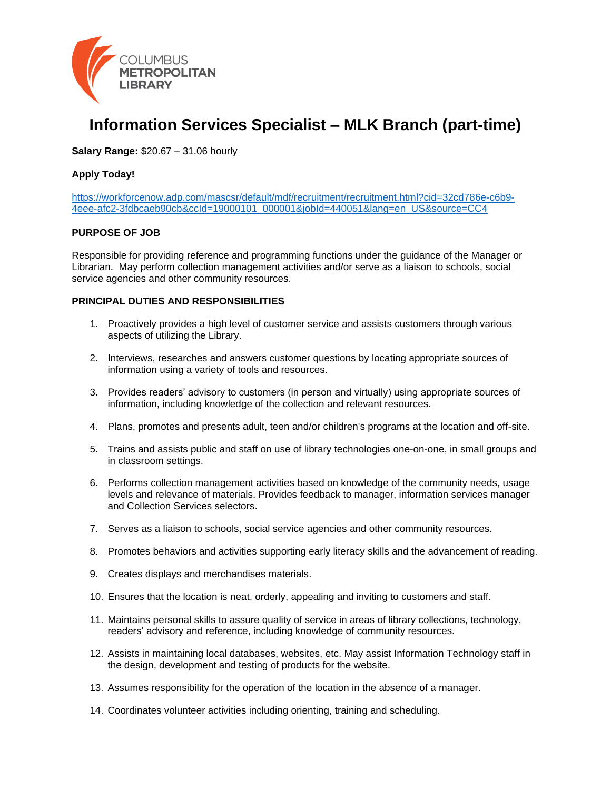

# **Information Services Specialist – MLK Branch (part-time)**

**Salary Range:** \$20.67 – 31.06 hourly

#### **Apply Today!**

[https://workforcenow.adp.com/mascsr/default/mdf/recruitment/recruitment.html?cid=32cd786e-c6b9-](https://workforcenow.adp.com/mascsr/default/mdf/recruitment/recruitment.html?cid=32cd786e-c6b9-4eee-afc2-3fdbcaeb90cb&ccId=19000101_000001&jobId=440051&lang=en_US&source=CC4) [4eee-afc2-3fdbcaeb90cb&ccId=19000101\\_000001&jobId=440051&lang=en\\_US&source=CC4](https://workforcenow.adp.com/mascsr/default/mdf/recruitment/recruitment.html?cid=32cd786e-c6b9-4eee-afc2-3fdbcaeb90cb&ccId=19000101_000001&jobId=440051&lang=en_US&source=CC4)

#### **PURPOSE OF JOB**

Responsible for providing reference and programming functions under the guidance of the Manager or Librarian. May perform collection management activities and/or serve as a liaison to schools, social service agencies and other community resources.

#### **PRINCIPAL DUTIES AND RESPONSIBILITIES**

- 1. Proactively provides a high level of customer service and assists customers through various aspects of utilizing the Library.
- 2. Interviews, researches and answers customer questions by locating appropriate sources of information using a variety of tools and resources.
- 3. Provides readers' advisory to customers (in person and virtually) using appropriate sources of information, including knowledge of the collection and relevant resources.
- 4. Plans, promotes and presents adult, teen and/or children's programs at the location and off-site.
- 5. Trains and assists public and staff on use of library technologies one-on-one, in small groups and in classroom settings.
- 6. Performs collection management activities based on knowledge of the community needs, usage levels and relevance of materials. Provides feedback to manager, information services manager and Collection Services selectors.
- 7. Serves as a liaison to schools, social service agencies and other community resources.
- 8. Promotes behaviors and activities supporting early literacy skills and the advancement of reading.
- 9. Creates displays and merchandises materials.
- 10. Ensures that the location is neat, orderly, appealing and inviting to customers and staff.
- 11. Maintains personal skills to assure quality of service in areas of library collections, technology, readers' advisory and reference, including knowledge of community resources.
- 12. Assists in maintaining local databases, websites, etc. May assist Information Technology staff in the design, development and testing of products for the website.
- 13. Assumes responsibility for the operation of the location in the absence of a manager.
- 14. Coordinates volunteer activities including orienting, training and scheduling.